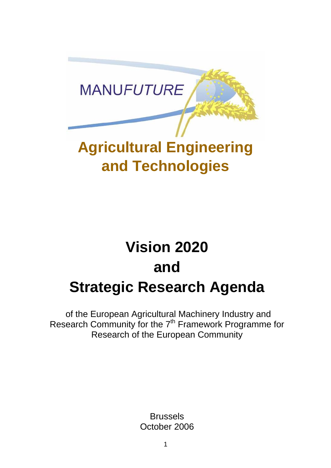

# **Agricultural Engineering and Technologies**

# **Vision 2020 and Strategic Research Agenda**

 of the European Agricultural Machinery Industry and Research Community for the 7<sup>th</sup> Framework Programme for Research of the European Community

> Brussels October 2006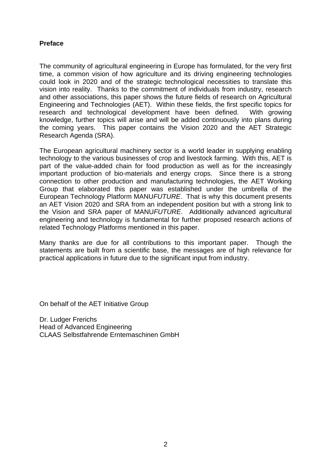#### **Preface**

The community of agricultural engineering in Europe has formulated, for the very first time, a common vision of how agriculture and its driving engineering technologies could look in 2020 and of the strategic technological necessities to translate this vision into reality. Thanks to the commitment of individuals from industry, research and other associations, this paper shows the future fields of research on Agricultural Engineering and Technologies (AET). Within these fields, the first specific topics for research and technological development have been defined. With growing knowledge, further topics will arise and will be added continuously into plans during the coming years. This paper contains the Vision 2020 and the AET Strategic Research Agenda (SRA).

The European agricultural machinery sector is a world leader in supplying enabling technology to the various businesses of crop and livestock farming. With this, AET is part of the value-added chain for food production as well as for the increasingly important production of bio-materials and energy crops. Since there is a strong connection to other production and manufacturing technologies, the AET Working Group that elaborated this paper was established under the umbrella of the European Technology Platform MANU*FUTURE*. That is why this document presents an AET Vision 2020 and SRA from an independent position but with a strong link to the Vision and SRA paper of MANU*FUTURE*. Additionally advanced agricultural engineering and technology is fundamental for further proposed research actions of related Technology Platforms mentioned in this paper.

Many thanks are due for all contributions to this important paper. Though the statements are built from a scientific base, the messages are of high relevance for practical applications in future due to the significant input from industry.

On behalf of the AET Initiative Group

Dr. Ludger Frerichs Head of Advanced Engineering CLAAS Selbstfahrende Erntemaschinen GmbH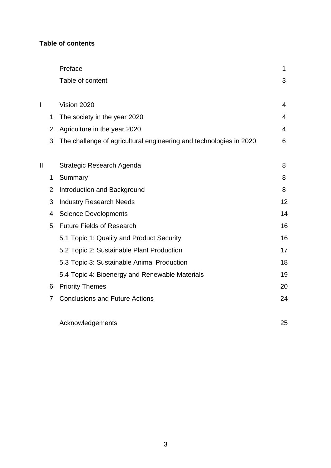## **Table of contents**

|   |                | Preface                                                            | 1  |
|---|----------------|--------------------------------------------------------------------|----|
|   |                | Table of content                                                   | 3  |
|   |                |                                                                    |    |
| I |                | Vision 2020                                                        | 4  |
|   | 1              | The society in the year 2020                                       | 4  |
|   | $\overline{2}$ | Agriculture in the year 2020                                       | 4  |
|   | 3              | The challenge of agricultural engineering and technologies in 2020 | 6  |
|   |                |                                                                    |    |
| Ш |                | Strategic Research Agenda                                          | 8  |
|   | 1              | Summary                                                            | 8  |
|   | $\overline{2}$ | Introduction and Background                                        | 8  |
|   | 3              | <b>Industry Research Needs</b>                                     | 12 |
|   | 4              | <b>Science Developments</b>                                        | 14 |
|   | 5              | <b>Future Fields of Research</b>                                   | 16 |
|   |                | 5.1 Topic 1: Quality and Product Security                          | 16 |
|   |                | 5.2 Topic 2: Sustainable Plant Production                          | 17 |
|   |                | 5.3 Topic 3: Sustainable Animal Production                         | 18 |
|   |                | 5.4 Topic 4: Bioenergy and Renewable Materials                     | 19 |
|   | 6              | <b>Priority Themes</b>                                             | 20 |
|   | 7              | <b>Conclusions and Future Actions</b>                              | 24 |
|   |                | Acknowledgements                                                   | 25 |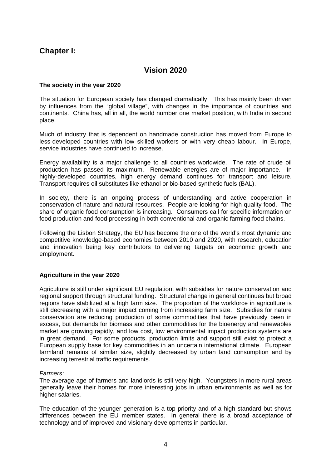## <span id="page-3-0"></span>**Chapter I:**

## **Vision 2020**

#### **The society in the year 2020**

The situation for European society has changed dramatically. This has mainly been driven by influences from the "global village", with changes in the importance of countries and continents. China has, all in all, the world number one market position, with India in second place.

Much of industry that is dependent on handmade construction has moved from Europe to less-developed countries with low skilled workers or with very cheap labour. In Europe, service industries have continued to increase.

Energy availability is a major challenge to all countries worldwide. The rate of crude oil production has passed its maximum. Renewable energies are of major importance. In highly-developed countries, high energy demand continues for transport and leisure. Transport requires oil substitutes like ethanol or bio-based synthetic fuels (BAL).

In society, there is an ongoing process of understanding and active cooperation in conservation of nature and natural resources. People are looking for high quality food. The share of organic food consumption is increasing. Consumers call for specific information on food production and food processing in both conventional and organic farming food chains.

Following the Lisbon Strategy, the EU has become the one of the world's most dynamic and competitive knowledge-based economies between 2010 and 2020, with research, education and innovation being key contributors to delivering targets on economic growth and employment.

#### **Agriculture in the year 2020**

Agriculture is still under significant EU regulation, with subsidies for nature conservation and regional support through structural funding. Structural change in general continues but broad regions have stabilized at a high farm size. The proportion of the workforce in agriculture is still decreasing with a major impact coming from increasing farm size. Subsidies for nature conservation are reducing production of some commodities that have previously been in excess, but demands for biomass and other commodities for the bioenergy and renewables market are growing rapidly, and low cost, low environmental impact production systems are in great demand. For some products, production limits and support still exist to protect a European supply base for key commodities in an uncertain international climate. European farmland remains of similar size, slightly decreased by urban land consumption and by increasing terrestrial traffic requirements.

#### *Farmers:*

The average age of farmers and landlords is still very high. Youngsters in more rural areas generally leave their homes for more interesting jobs in urban environments as well as for higher salaries.

The education of the younger generation is a top priority and of a high standard but shows differences between the EU member states. In general there is a broad acceptance of technology and of improved and visionary developments in particular.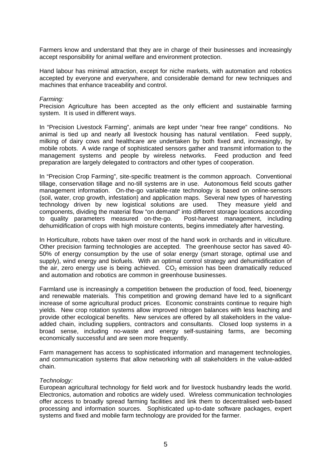Farmers know and understand that they are in charge of their businesses and increasingly accept responsibility for animal welfare and environment protection.

Hand labour has minimal attraction, except for niche markets, with automation and robotics accepted by everyone and everywhere, and considerable demand for new techniques and machines that enhance traceability and control.

#### *Farming:*

Precision Agriculture has been accepted as the only efficient and sustainable farming system. It is used in different ways.

In "Precision Livestock Farming", animals are kept under "near free range" conditions. No animal is tied up and nearly all livestock housing has natural ventilation. Feed supply, milking of dairy cows and healthcare are undertaken by both fixed and, increasingly, by mobile robots. A wide range of sophisticated sensors gather and transmit information to the management systems and people by wireless networks. Feed production and feed preparation are largely delegated to contractors and other types of cooperation.

In "Precision Crop Farming", site-specific treatment is the common approach. Conventional tillage, conservation tillage and no-till systems are in use. Autonomous field scouts gather management information. On-the-go variable-rate technology is based on online-sensors (soil, water, crop growth, infestation) and application maps. Several new types of harvesting technology driven by new logistical solutions are used. They measure yield and components, dividing the material flow "on demand" into different storage locations according to quality parameters measured on-the-go. Post-harvest management, including dehumidification of crops with high moisture contents, begins immediately after harvesting.

In Horticulture, robots have taken over most of the hand work in orchards and in viticulture. Other precision farming technologies are accepted. The greenhouse sector has saved 40- 50% of energy consumption by the use of solar energy (smart storage, optimal use and supply), wind energy and biofuels. With an optimal control strategy and dehumidification of the air, zero energy use is being achieved.  $CO<sub>2</sub>$  emission has been dramatically reduced and automation and robotics are common in greenhouse businesses.

Farmland use is increasingly a competition between the production of food, feed, bioenergy and renewable materials. This competition and growing demand have led to a significant increase of some agricultural product prices. Economic constraints continue to require high yields. New crop rotation systems allow improved nitrogen balances with less leaching and provide other ecological benefits. New services are offered by all stakeholders in the valueadded chain, including suppliers, contractors and consultants. Closed loop systems in a broad sense, including no-waste and energy self-sustaining farms, are becoming economically successful and are seen more frequently.

Farm management has access to sophisticated information and management technologies, and communication systems that allow networking with all stakeholders in the value-added chain.

#### *Technology:*

European agricultural technology for field work and for livestock husbandry leads the world. Electronics, automation and robotics are widely used. Wireless communication technologies offer access to broadly spread farming facilities and link them to decentralised web-based processing and information sources. Sophisticated up-to-date software packages, expert systems and fixed and mobile farm technology are provided for the farmer.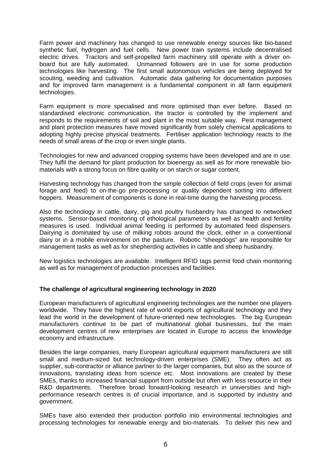<span id="page-5-0"></span>Farm power and machinery has changed to use renewable energy sources like bio-based synthetic fuel, hydrogen and fuel cells. New power train systems include decentralised electric drives. Tractors and self-propelled farm machinery still operate with a driver onboard but are fully automated. Unmanned followers are in use for some production technologies like harvesting. The first small autonomous vehicles are being deployed for scouting, weeding and cultivation. Automatic data gathering for documentation purposes and for improved farm management is a fundamental component in all farm equipment technologies.

Farm equipment is more specialised and more optimised than ever before. Based on standardised electronic communication, the tractor is controlled by the implement and responds to the requirements of soil and plant in the most suitable way. Pest management and plant protection measures have moved significantly from solely chemical applications to adopting highly precise physical treatments. Fertiliser application technology reacts to the needs of small areas of the crop or even single plants.

Technologies for new and advanced cropping systems have been developed and are in use. They fulfil the demand for plant production for bioenergy as well as for more renewable biomaterials with a strong focus on fibre quality or on starch or sugar content.

Harvesting technology has changed from the simple collection of field crops (even for animal forage and feed) to on-the-go pre-processing or quality dependent sorting into different hoppers. Measurement of components is done in real-time during the harvesting process.

Also the technology in cattle, dairy, pig and poultry husbandry has changed to networked systems. Sensor-based monitoring of ethological parameters as well as health and fertility measures is used. Individual animal feeding is performed by automated feed dispensers. Dairying is dominated by use of milking robots around the clock, either in a conventional dairy or in a mobile environment on the pasture. Robotic "sheepdogs" are responsible for management tasks as well as for shepherding activities in cattle and sheep husbandry.

New logistics technologies are available. Intelligent RFID tags permit food chain monitoring as well as for management of production processes and facilities.

#### **The challenge of agricultural engineering technology in 2020**

European manufacturers of agricultural engineering technologies are the number one players worldwide. They have the highest rate of world exports of agricultural technology and they lead the world in the development of future-oriented new technologies. The big European manufacturers continue to be part of multinational global businesses, but the main development centres of new enterprises are located in Europe to access the knowledge economy and infrastructure.

Besides the large companies, many European agricultural equipment manufacturers are still small and medium-sized but technology-driven enterprises (SME). They often act as supplier, sub-contractor or alliance partner to the larger companies, but also as the source of innovations, translating ideas from science etc. Most innovations are created by these SMEs, thanks to increased financial support from outside but often with less resource in their R&D departments. Therefore broad forward-looking research in universities and highperformance research centres is of crucial importance, and is supported by industry and government.

SMEs have also extended their production portfolio into environmental technologies and processing technologies for renewable energy and bio-materials. To deliver this new and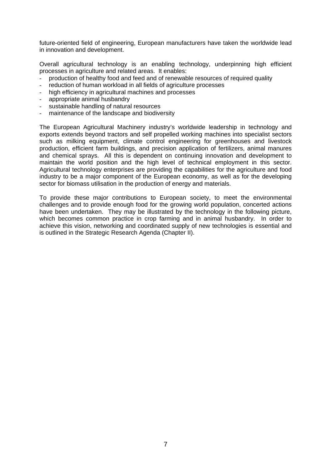future-oriented field of engineering, European manufacturers have taken the worldwide lead in innovation and development.

Overall agricultural technology is an enabling technology, underpinning high efficient processes in agriculture and related areas. It enables:

- production of healthy food and feed and of renewable resources of required quality
- reduction of human workload in all fields of agriculture processes
- high efficiency in agricultural machines and processes
- appropriate animal husbandry
- sustainable handling of natural resources
- maintenance of the landscape and biodiversity

The European Agricultural Machinery industry's worldwide leadership in technology and exports extends beyond tractors and self propelled working machines into specialist sectors such as milking equipment, climate control engineering for greenhouses and livestock production, efficient farm buildings, and precision application of fertilizers, animal manures and chemical sprays. All this is dependent on continuing innovation and development to maintain the world position and the high level of technical employment in this sector. Agricultural technology enterprises are providing the capabilities for the agriculture and food industry to be a major component of the European economy, as well as for the developing sector for biomass utilisation in the production of energy and materials.

To provide these major contributions to European society, to meet the environmental challenges and to provide enough food for the growing world population, concerted actions have been undertaken. They may be illustrated by the technology in the following picture, which becomes common practice in crop farming and in animal husbandry. In order to achieve this vision, networking and coordinated supply of new technologies is essential and is outlined in the Strategic Research Agenda (Chapter II).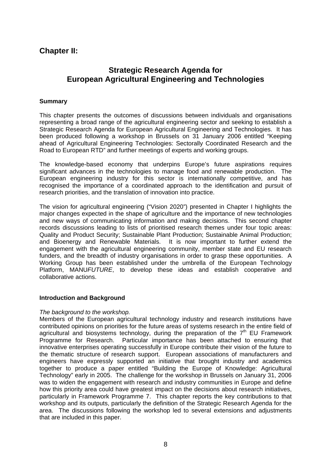## <span id="page-7-0"></span>**Chapter II:**

## **Strategic Research Agenda for European Agricultural Engineering and Technologies**

#### **Summary**

This chapter presents the outcomes of discussions between individuals and organisations representing a broad range of the agricultural engineering sector and seeking to establish a Strategic Research Agenda for European Agricultural Engineering and Technologies. It has been produced following a workshop in Brussels on 31 January 2006 entitled "Keeping ahead of Agricultural Engineering Technologies: Sectorally Coordinated Research and the Road to European RTD" and further meetings of experts and working groups.

The knowledge-based economy that underpins Europe's future aspirations requires significant advances in the technologies to manage food and renewable production. The European engineering industry for this sector is internationally competitive, and has recognised the importance of a coordinated approach to the identification and pursuit of research priorities, and the translation of innovation into practice.

The vision for agricultural engineering ("Vision 2020") presented in Chapter I highlights the major changes expected in the shape of agriculture and the importance of new technologies and new ways of communicating information and making decisions. This second chapter records discussions leading to lists of prioritised research themes under four topic areas: Quality and Product Security; Sustainable Plant Production; Sustainable Animal Production; and Bioenergy and Renewable Materials. It is now important to further extend the engagement with the agricultural engineering community, member state and EU research funders, and the breadth of industry organisations in order to grasp these opportunities. A Working Group has been established under the umbrella of the European Technology Platform, MANU*FUTURE*, to develop these ideas and establish cooperative and collaborative actions.

#### **Introduction and Background**

#### *The background to the workshop.*

Members of the European agricultural technology industry and research institutions have contributed opinions on priorities for the future areas of systems research in the entire field of agricultural and biosystems technology, during the preparation of the  $7<sup>th</sup>$  EU Framework Programme for Research. Particular importance has been attached to ensuring that innovative enterprises operating successfully in Europe contribute their vision of the future to the thematic structure of research support. European associations of manufacturers and engineers have expressly supported an initiative that brought industry and academics together to produce a paper entitled "Building the Europe of Knowledge: Agricultural Technology" early in 2005. The challenge for the workshop in Brussels on January 31, 2006 was to widen the engagement with research and industry communities in Europe and define how this priority area could have greatest impact on the decisions about research initiatives, particularly in Framework Programme 7. This chapter reports the key contributions to that workshop and its outputs, particularly the definition of the Strategic Research Agenda for the area. The discussions following the workshop led to several extensions and adjustments that are included in this paper.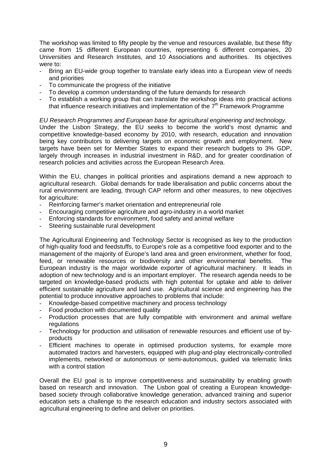The workshop was limited to fifty people by the venue and resources available, but these fifty came from 15 different European countries, representing 6 different companies, 20 Universities and Research Institutes, and 10 Associations and authorities. Its objectives were to:

- Bring an EU-wide group together to translate early ideas into a European view of needs and priorities
- To communicate the progress of the initiative
- To develop a common understanding of the future demands for research
- To establish a working group that can translate the workshop ideas into practical actions that influence research initiatives and implementation of the  $7<sup>th</sup>$  Framework Programme

*EU Research Programmes and European base for agricultural engineering and technology.*  Under the Lisbon Strategy, the EU seeks to become the world's most dynamic and competitive knowledge-based economy by 2010, with research, education and innovation being key contributors to delivering targets on economic growth and employment. New targets have been set for Member States to expand their research budgets to 3% GDP, largely through increases in industrial investment in R&D, and for greater coordination of research policies and activities across the European Research Area.

Within the EU, changes in political priorities and aspirations demand a new approach to agricultural research. Global demands for trade liberalisation and public concerns about the rural environment are leading, through CAP reform and other measures, to new objectives for agriculture:

- Reinforcing farmer's market orientation and entrepreneurial role
- Encouraging competitive agriculture and agro-industry in a world market
- Enforcing standards for environment, food safety and animal welfare
- Steering sustainable rural development

The Agricultural Engineering and Technology Sector is recognised as key to the production of high-quality food and feedstuffs, to Europe's role as a competitive food exporter and to the management of the majority of Europe's land area and green environment, whether for food, feed, or renewable resources or biodiversity and other environmental benefits. The European industry is the major worldwide exporter of agricultural machinery. It leads in adoption of new technology and is an important employer. The research agenda needs to be targeted on knowledge-based products with high potential for uptake and able to deliver efficient sustainable agriculture and land use. Agricultural science and engineering has the potential to produce innovative approaches to problems that include:

- Knowledge-based competitive machinery and process technology
- Food production with documented quality
- Production processes that are fully compatible with environment and animal welfare regulations
- Technology for production and utilisation of renewable resources and efficient use of byproducts
- Efficient machines to operate in optimised production systems, for example more automated tractors and harvesters, equipped with plug-and-play electronically-controlled implements, networked or autonomous or semi-autonomous, guided via telematic links with a control station

Overall the EU goal is to improve competitiveness and sustainability by enabling growth based on research and innovation. The Lisbon goal of creating a European knowledgebased society through collaborative knowledge generation, advanced training and superior education sets a challenge to the research education and industry sectors associated with agricultural engineering to define and deliver on priorities.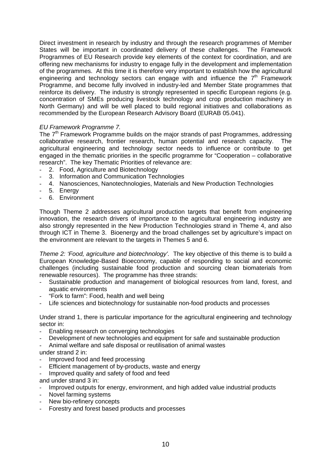Direct investment in research by industry and through the research programmes of Member States will be important in coordinated delivery of these challenges. The Framework Programmes of EU Research provide key elements of the context for coordination, and are offering new mechanisms for industry to engage fully in the development and implementation of the programmes. At this time it is therefore very important to establish how the agricultural engineering and technology sectors can engage with and influence the  $7<sup>th</sup>$  Framework Programme, and become fully involved in industry-led and Member State programmes that reinforce its delivery. The industry is strongly represented in specific European regions (e.g. concentration of SMEs producing livestock technology and crop production machinery in North Germany) and will be well placed to build regional initiatives and collaborations as recommended by the European Research Advisory Board (EURAB 05.041).

#### *EU Framework Programme 7.*

The  $7<sup>th</sup>$  Framework Programme builds on the major strands of past Programmes, addressing collaborative research, frontier research, human potential and research capacity. The agricultural engineering and technology sector needs to influence or contribute to get engaged in the thematic priorities in the specific programme for "Cooperation – collaborative research". The key Thematic Priorities of relevance are:

- 2. Food, Agriculture and Biotechnology
- 3. Information and Communication Technologies
- 4. Nanosciences, Nanotechnologies, Materials and New Production Technologies
- 5. Energy
- 6. Environment

Though Theme 2 addresses agricultural production targets that benefit from engineering innovation, the research drivers of importance to the agricultural engineering industry are also strongly represented in the New Production Technologies strand in Theme 4, and also through ICT in Theme 3. Bioenergy and the broad challenges set by agriculture's impact on the environment are relevant to the targets in Themes 5 and 6.

*Theme 2: 'Food, agriculture and biotechnology'.* The key objective of this theme is to build a European Knowledge-Based Bioeconomy, capable of responding to social and economic challenges (including sustainable food production and sourcing clean biomaterials from renewable resources). The programme has three strands:

- Sustainable production and management of biological resources from land, forest, and aquatic environments
- "Fork to farm": Food, health and well being
- Life sciences and biotechnology for sustainable non-food products and processes

Under strand 1, there is particular importance for the agricultural engineering and technology sector in:

- Enabling research on converging technologies
- Development of new technologies and equipment for safe and sustainable production
- Animal welfare and safe disposal or reutilisation of animal wastes
- under strand 2 in:
- Improved food and feed processing
- Efficient management of by-products, waste and energy
- Improved quality and safety of food and feed

and under strand 3 in:

- Improved outputs for energy, environment, and high added value industrial products
- Novel farming systems
- New bio-refinery concepts
- Forestry and forest based products and processes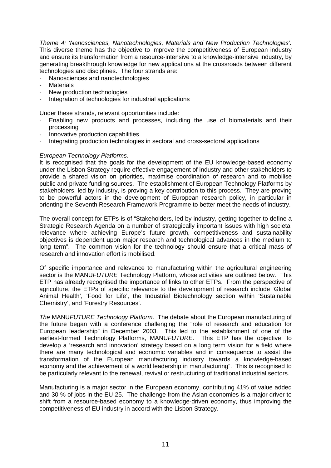*Theme 4: 'Nanosciences, Nanotechnologies, Materials and New Production Technologies'.*  This diverse theme has the objective to improve the competitiveness of European industry and ensure its transformation from a resource-intensive to a knowledge-intensive industry, by generating breakthrough knowledge for new applications at the crossroads between different technologies and disciplines. The four strands are:

- Nanosciences and nanotechnologies
- **Materials**
- New production technologies
- Integration of technologies for industrial applications

Under these strands, relevant opportunities include:

- Enabling new products and processes, including the use of biomaterials and their processing
- Innovative production capabilities
- Integrating production technologies in sectoral and cross-sectoral applications

#### *European Technology Platforms.*

It is recognised that the goals for the development of the EU knowledge-based economy under the Lisbon Strategy require effective engagement of industry and other stakeholders to provide a shared vision on priorities, maximise coordination of research and to mobilise public and private funding sources. The establishment of European Technology Platforms by stakeholders, led by industry, is proving a key contribution to this process. They are proving to be powerful actors in the development of European research policy, in particular in orienting the Seventh Research Framework Programme to better meet the needs of industry.

The overall concept for ETPs is of "Stakeholders, led by industry, getting together to define a Strategic Research Agenda on a number of strategically important issues with high societal relevance where achieving Europe's future growth, competitiveness and sustainability objectives is dependent upon major research and technological advances in the medium to long term". The common vision for the technology should ensure that a critical mass of research and innovation effort is mobilised.

Of specific importance and relevance to manufacturing within the agricultural engineering sector is the MANU*FUTURE* Technology Platform, whose activities are outlined below. This ETP has already recognised the importance of links to other ETPs. From the perspective of agriculture, the ETPs of specific relevance to the development of research include 'Global Animal Health', 'Food for Life', the Industrial Biotechnology section within 'Sustainable Chemistry', and 'Forestry Resources'.

*The* MANU*FUTURE Technology Platform*. The debate about the European manufacturing of the future began with a conference challenging the "role of research and education for European leadership" in December 2003. This led to the establishment of one of the earliest-formed Technology Platforms, MANU*FUTURE*. This ETP has the objective "to develop a 'research and innovation' strategy based on a long term vision for a field where there are many technological and economic variables and in consequence to assist the transformation of the European manufacturing industry towards a knowledge-based economy and the achievement of a world leadership in manufacturing". This is recognised to be particularly relevant to the renewal, revival or restructuring of traditional industrial sectors.

Manufacturing is a major sector in the European economy, contributing 41% of value added and 30 % of jobs in the EU-25. The challenge from the Asian economies is a major driver to shift from a resource-based economy to a knowledge-driven economy, thus improving the competitiveness of EU industry in accord with the Lisbon Strategy.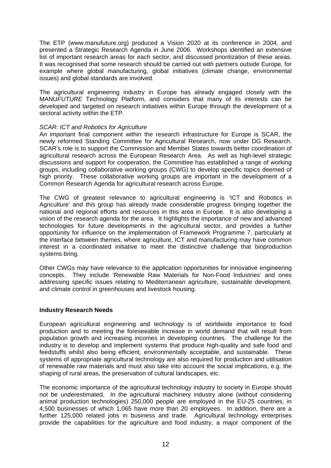The ETP (www.manufuture.org) produced a Vision 2020 at its conference in 2004, and presented a Strategic Research Agenda in June 2006. Workshops identified an extensive list of important research areas for each sector, and discussed prioritization of these areas. It was recognised that some research should be carried out with partners outside Europe, for example where global manufacturing, global initiatives (climate change, environmental issues) and global standards are involved.

The agricultural engineering industry in Europe has already engaged closely with the MANU*FUTURE* Technology Platform, and considers that many of its interests can be developed and targeted on research initiatives within Europe through the development of a sectoral activity within the ETP.

#### *SCAR: ICT and Robotics for Agriculture*

An important final component within the research infrastructure for Europe is SCAR, the newly reformed Standing Committee for Agricultural Research, now under DG Research. SCAR's role is to support the Commission and Member States towards better coordination of agricultural research across the European Research Area. As well as high-level strategic discussions and support for cooperation, the Committee has established a range of working groups, including collaborative working groups (CWG) to develop specific topics deemed of high priority. These collaborative working groups are important in the development of a Common Research Agenda for agricultural research across Europe.

The CWG of greatest relevance to agricultural engineering is 'ICT and Robotics in Agriculture' and this group has already made considerable progress bringing together the national and regional efforts and resources in this area in Europe. It is also developing a vision of the research agenda for the area. It highlights the importance of new and advanced technologies for future developments in the agricultural sector, and provides a further opportunity for influence on the implementation of Framework Programme 7, particularly at the interface between themes, where agriculture, ICT and manufacturing may have common interest in a coordinated initiative to meet the distinctive challenge that bioproduction systems bring.

Other CWGs may have relevance to the application opportunities for innovative engineering concepts. They include 'Renewable Raw Materials for Non-Food Industries' and ones addressing specific issues relating to Mediterranean agriculture, sustainable development, and climate control in greenhouses and livestock housing.

#### **Industry Research Needs**

European agricultural engineering and technology is of worldwide importance to food production and to meeting the foreseeable increase in world demand that will result from population growth and increasing incomes in developing countries. The challenge for the industry is to develop and implement systems that produce high-quality and safe food and feedstuffs whilst also being efficient, environmentally acceptable, and sustainable. These systems of appropriate agricultural technology are also required for production and utilisation of renewable raw materials and must also take into account the social implications, e.g. the shaping of rural areas, the preservation of cultural landscapes, etc.

The economic importance of the agricultural technology industry to society in Europe should not be underestimated. In the agricultural machinery industry alone (without considering animal production technologies) 250,000 people are employed in the EU-25 countries, in 4,500 businesses of which 1,065 have more than 20 employees. In addition, there are a further 125,000 related jobs in business and trade. Agricultural technology enterprises provide the capabilities for the agriculture and food industry, a major component of the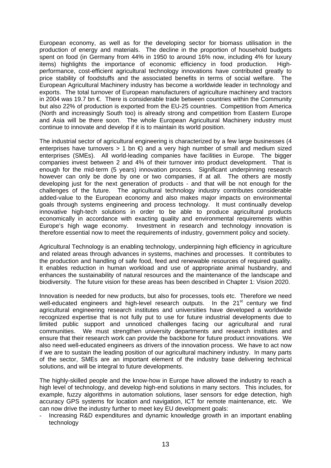European economy, as well as for the developing sector for biomass utilisation in the production of energy and materials. The decline in the proportion of household budgets spent on food (in Germany from 44% in 1950 to around 16% now, including 4% for luxury items) highlights the importance of economic efficiency in food production. Highperformance, cost-efficient agricultural technology innovations have contributed greatly to price stability of foodstuffs and the associated benefits in terms of social welfare. The European Agricultural Machinery industry has become a worldwide leader in technology and exports. The total turnover of European manufacturers of agriculture machinery and tractors in 2004 was 19.7 bn €. There is considerable trade between countries within the Community but also 22% of production is exported from the EU-25 countries. Competition from America (North and increasingly South too) is already strong and competition from Eastern Europe and Asia will be there soon. The whole European Agricultural Machinery industry must continue to innovate and develop if it is to maintain its world position.

The industrial sector of agricultural engineering is characterized by a few large businesses (4 enterprises have turnovers  $> 1$  bn  $\bigoplus$  and a very high number of small and medium sized enterprises (SMEs). All world-leading companies have facilities in Europe. The bigger companies invest between 2 and 4% of their turnover into product development. That is enough for the mid-term (5 years) innovation process. Significant underpinning research however can only be done by one or two companies, if at all. The others are mostly developing just for the next generation of products - and that will be not enough for the challenges of the future. The agricultural technology industry contributes considerable added-value to the European economy and also makes major impacts on environmental goals through systems engineering and process technology. It must continually develop innovative high-tech solutions in order to be able to produce agricultural products economically in accordance with exacting quality and environmental requirements within Europe's high wage economy. Investment in research and technology innovation is therefore essential now to meet the requirements of industry, government policy and society.

Agricultural Technology is an enabling technology, underpinning high efficiency in agriculture and related areas through advances in systems, machines and processes. It contributes to the production and handling of safe food, feed and renewable resources of required quality. It enables reduction in human workload and use of appropriate animal husbandry, and enhances the sustainability of natural resources and the maintenance of the landscape and biodiversity. The future vision for these areas has been described in Chapter 1: Vision 2020.

Innovation is needed for new products, but also for processes, tools etc. Therefore we need well-educated engineers and high-level research outputs. In the  $21<sup>st</sup>$  century we find agricultural engineering research institutes and universities have developed a worldwide recognized expertise that is not fully put to use for future industrial developments due to limited public support and unnoticed challenges facing our agricultural and rural communities. We must strengthen university departments and research institutes and ensure that their research work can provide the backbone for future product innovations. We also need well-educated engineers as drivers of the innovation process. We have to act now if we are to sustain the leading position of our agricultural machinery industry. In many parts of the sector, SMEs are an important element of the industry base delivering technical solutions, and will be integral to future developments.

The highly-skilled people and the know-how in Europe have allowed the industry to reach a high level of technology, and develop high-end solutions in many sectors. This includes, for example, fuzzy algorithms in automation solutions, laser sensors for edge detection, high accuracy GPS systems for location and navigation, ICT for remote maintenance, etc. We can now drive the industry further to meet key EU development goals:

Increasing R&D expenditures and dynamic knowledge growth in an important enabling technology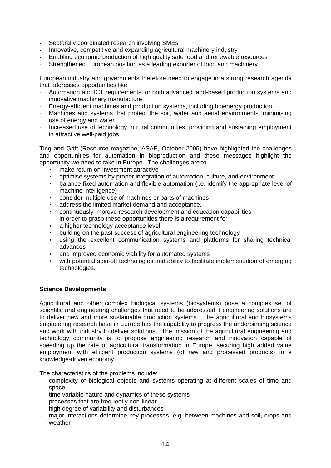- Sectorally coordinated research involving SMEs
- Innovative, competitive and expanding agricultural machinery industry
- Enabling economic production of high quality safe food and renewable resources
- Strengthened European position as a leading exporter of food and machinery

European industry and governments therefore need to engage in a strong research agenda that addresses opportunities like:

- Automation and ICT requirements for both advanced land-based production systems and innovative machinery manufacture
- Energy-efficient machines and production systems, including bioenergy production
- Machines and systems that protect the soil, water and aerial environments, minimising use of energy and water
- Increased use of technology in rural communities, providing and sustaining employment in attractive well-paid jobs

Ting and Grift (Resource magazine, ASAE, October 2005) have highlighted the challenges and opportunities for automation in bioproduction and these messages highlight the opportunity we need to take in Europe. The challenges are to

- make return on investment attractive
- optimise systems by proper integration of automation, culture, and environment
- balance fixed automation and flexible automation (i.e. identify the appropriate level of machine intelligence)
- consider multiple use of machines or parts of machines
- address the limited market demand and acceptance,
- continuously improve research development and education capabilities in order to grasp these opportunities there is a requirement for
- a higher technology acceptance level
- building on the past success of agricultural engineering technology
- using the excellent communication systems and platforms for sharing technical advances
- and improved economic viability for automated systems
- with potential spin-off technologies and ability to facilitate implementation of emerging technologies.

#### **Science Developments**

Agricultural and other complex biological systems (biosystems) pose a complex set of scientific and engineering challenges that need to be addressed if engineering solutions are to deliver new and more sustainable production systems. The agricultural and biosystems engineering research base in Europe has the capability to progress the underpinning science and work with industry to deliver solutions. The mission of the agricultural engineering and technology community is to propose engineering research and innovation capable of speeding up the rate of agricultural transformation in Europe, securing high added value employment with efficient production systems (of raw and processed products) in a knowledge-driven economy.

The characteristics of the problems include:

- complexity of biological objects and systems operating at different scales of time and space
- time variable nature and dynamics of these systems
- processes that are frequently non-linear
- high degree of variability and disturbances
- major interactions determine key processes, e.g. between machines and soil, crops and weather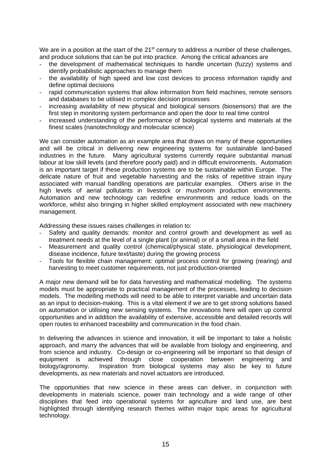We are in a position at the start of the 21<sup>st</sup> century to address a number of these challenges, and produce solutions that can be put into practice. Among the critical advances are

- the development of mathematical techniques to handle uncertain (fuzzy) systems and identify probabilistic approaches to manage them
- the availability of high speed and low cost devices to process information rapidly and define optimal decisions
- rapid communication systems that allow information from field machines, remote sensors and databases to be utilised in complex decision processes
- increasing availability of new physical and biological sensors (biosensors) that are the first step in monitoring system performance and open the door to real time control
- increased understanding of the performance of biological systems and materials at the finest scales (nanotechnology and molecular science)

We can consider automation as an example area that draws on many of these opportunities and will be critical in delivering new engineering systems for sustainable land-based industries in the future. Many agricultural systems currently require substantial manual labour at low skill levels (and therefore poorly paid) and in difficult environments. Automation is an important target if these production systems are to be sustainable within Europe. The delicate nature of fruit and vegetable harvesting and the risks of repetitive strain injury associated with manual handling operations are particular examples. Others arise in the high levels of aerial pollutants in livestock or mushroom production environments. Automation and new technology can redefine environments and reduce loads on the workforce, whilst also bringing in higher skilled employment associated with new machinery management.

Addressing these issues raises challenges in relation to:

- Safety and quality demands: monitor and control growth and development as well as treatment needs at the level of a single plant (or animal) or of a small area in the field
- Measurement and quality control (chemical/physical state, physiological development, disease incidence, future text/taste) during the growing process
- Tools for flexible chain management: optimal process control for growing (rearing) and harvesting to meet customer requirements, not just production-oriented

A major new demand will be for data harvesting and mathematical modelling. The systems models must be appropriate to practical management of the processes, leading to decision models. The modelling methods will need to be able to interpret variable and uncertain data as an input to decision-making. This is a vital element if we are to get strong solutions based on automation or utilising new sensing systems. The innovations here will open up control opportunities and in addition the availability of extensive, accessible and detailed records will open routes to enhanced traceability and communication in the food chain.

In delivering the advances in science and innovation, it will be important to take a holistic approach, and marry the advances that will be available from biology and engineering, and from science and industry. Co-design or co-engineering will be important so that design of equipment is achieved through close cooperation between engineering and biology/agronomy. Inspiration from biological systems may also be key to future developments, as new materials and novel actuators are introduced.

The opportunities that new science in these areas can deliver, in conjunction with developments in materials science, power train technology and a wide range of other disciplines that feed into operational systems for agriculture and land use, are best highlighted through identifying research themes within major topic areas for agricultural technology.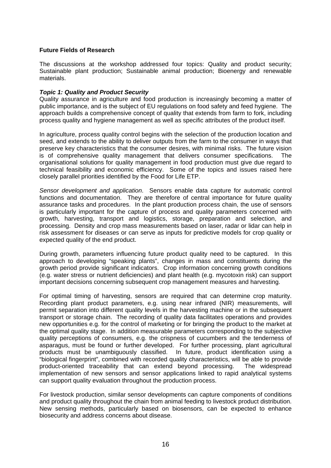#### **Future Fields of Research**

The discussions at the workshop addressed four topics: Quality and product security; Sustainable plant production; Sustainable animal production; Bioenergy and renewable materials.

#### *Topic 1: Quality and Product Security*

Quality assurance in agriculture and food production is increasingly becoming a matter of public importance, and is the subject of EU regulations on food safety and feed hygiene. The approach builds a comprehensive concept of quality that extends from farm to fork, including process quality and hygiene management as well as specific attributes of the product itself.

In agriculture, process quality control begins with the selection of the production location and seed, and extends to the ability to deliver outputs from the farm to the consumer in ways that preserve key characteristics that the consumer desires, with minimal risks. The future vision is of comprehensive quality management that delivers consumer specifications. The organisational solutions for quality management in food production must give due regard to technical feasibility and economic efficiency. Some of the topics and issues raised here closely parallel priorities identified by the Food for Life ETP.

*Sensor development and application*. Sensors enable data capture for automatic control functions and documentation. They are therefore of central importance for future quality assurance tasks and procedures. In the plant production process chain, the use of sensors is particularly important for the capture of process and quality parameters concerned with growth, harvesting, transport and logistics, storage, preparation and selection, and processing. Density and crop mass measurements based on laser, radar or lidar can help in risk assessment for diseases or can serve as inputs for predictive models for crop quality or expected quality of the end product.

During growth, parameters influencing future product quality need to be captured. In this approach to developing "speaking plants", changes in mass and constituents during the growth period provide significant indicators. Crop information concerning growth conditions (e.g. water stress or nutrient deficiencies) and plant health (e.g. mycotoxin risk) can support important decisions concerning subsequent crop management measures and harvesting.

For optimal timing of harvesting, sensors are required that can determine crop maturity. Recording plant product parameters, e.g. using near infrared (NIR) measurements, will permit separation into different quality levels in the harvesting machine or in the subsequent transport or storage chain. The recording of quality data facilitates operations and provides new opportunities e.g. for the control of marketing or for bringing the product to the market at the optimal quality stage. In addition measurable parameters corresponding to the subjective quality perceptions of consumers, e.g. the crispness of cucumbers and the tenderness of asparagus, must be found or further developed. For further processing, plant agricultural products must be unambiguously classified. In future, product identification using a "biological fingerprint", combined with recorded quality characteristics, will be able to provide product-oriented traceability that can extend beyond processing. The widespread implementation of new sensors and sensor applications linked to rapid analytical systems can support quality evaluation throughout the production process.

For livestock production, similar sensor developments can capture components of conditions and product quality throughout the chain from animal feeding to livestock product distribution. New sensing methods, particularly based on biosensors, can be expected to enhance biosecurity and address concerns about disease.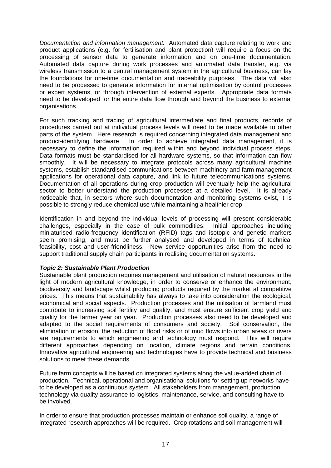*Documentation and information management.* Automated data capture relating to work and product applications (e.g. for fertilisation and plant protection) will require a focus on the processing of sensor data to generate information and on one-time documentation. Automated data capture during work processes and automated data transfer, e.g. via wireless transmission to a central management system in the agricultural business, can lay the foundations for one-time documentation and traceability purposes. The data will also need to be processed to generate information for internal optimisation by control processes or expert systems, or through intervention of external experts. Appropriate data formats need to be developed for the entire data flow through and beyond the business to external organisations.

For such tracking and tracing of agricultural intermediate and final products, records of procedures carried out at individual process levels will need to be made available to other parts of the system. Here research is required concerning integrated data management and product-identifying hardware. In order to achieve integrated data management, it is necessary to define the information required within and beyond individual process steps. Data formats must be standardised for all hardware systems, so that information can flow smoothly. It will be necessary to integrate protocols across many agricultural machine systems, establish standardised communications between machinery and farm management applications for operational data capture, and link to future telecommunications systems. Documentation of all operations during crop production will eventually help the agricultural sector to better understand the production processes at a detailed level. It is already noticeable that, in sectors where such documentation and monitoring systems exist, it is possible to strongly reduce chemical use while maintaining a healthier crop.

Identification in and beyond the individual levels of processing will present considerable challenges, especially in the case of bulk commodities. Initial approaches including miniaturised radio-frequency identification (RFID) tags and isotopic and genetic markers seem promising, and must be further analysed and developed in terms of technical feasibility, cost and user-friendliness. New service opportunities arise from the need to support traditional supply chain participants in realising documentation systems.

#### *Topic 2: Sustainable Plant Production*

Sustainable plant production requires management and utilisation of natural resources in the light of modern agricultural knowledge, in order to conserve or enhance the environment, biodiversity and landscape whilst producing products required by the market at competitive prices. This means that sustainability has always to take into consideration the ecological, economical and social aspects. Production processes and the utilisation of farmland must contribute to increasing soil fertility and quality, and must ensure sufficient crop yield and quality for the farmer year on year. Production processes also need to be developed and adapted to the social requirements of consumers and society. Soil conservation, the elimination of erosion, the reduction of flood risks or of mud flows into urban areas or rivers are requirements to which engineering and technology must respond. This will require different approaches depending on location, climate regions and terrain conditions. Innovative agricultural engineering and technologies have to provide technical and business solutions to meet these demands.

Future farm concepts will be based on integrated systems along the value-added chain of production. Technical, operational and organisational solutions for setting up networks have to be developed as a continuous system. All stakeholders from management, production technology via quality assurance to logistics, maintenance, service, and consulting have to be involved.

In order to ensure that production processes maintain or enhance soil quality, a range of integrated research approaches will be required. Crop rotations and soil management will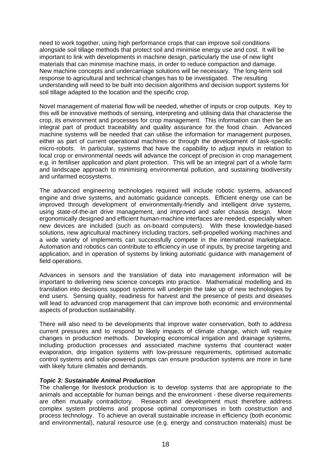need to work together, using high performance crops that can improve soil conditions alongside soil tillage methods that protect soil and minimise energy use and cost. It will be important to link with developments in machine design, particularly the use of new light materials that can minimise machine mass, in order to reduce compaction and damage. New machine concepts and undercarriage solutions will be necessary. The long-term soil response to agricultural and technical changes has to be investigated. The resulting understanding will need to be built into decision algorithms and decision support systems for soil tillage adapted to the location and the specific crop.

Novel management of material flow will be needed, whether of inputs or crop outputs. Key to this will be innovative methods of sensing, interpreting and utilising data that characterise the crop, its environment and processes for crop management. This information can then be an integral part of product traceability and quality assurance for the food chain. Advanced machine systems will be needed that can utilise the information for management purposes, either as part of current operational machines or through the development of task-specific micro-robots. In particular, systems that have the capability to adjust inputs in relation to local crop or environmental needs will advance the concept of precision in crop management e.g. in fertiliser application and plant protection. This will be an integral part of a whole farm and landscape approach to minimising environmental pollution, and sustaining biodiversity and unfarmed ecosystems.

The advanced engineering technologies required will include robotic systems, advanced engine and drive systems, and automatic guidance concepts. Efficient energy use can be improved through development of environmentally-friendly and intelligent drive systems, using state-of-the-art drive management, and improved and safer chassis design. More ergonomically designed and efficient human-machine interfaces are needed, especially when new devices are included (such as on-board computers). With these knowledge-based solutions, new agricultural machinery including tractors, self-propelled working machines and a wide variety of implements can successfully compete in the international marketplace. Automation and robotics can contribute to efficiency in use of inputs, by precise targeting and application, and in operation of systems by linking automatic guidance with management of field operations.

Advances in sensors and the translation of data into management information will be important to delivering new science concepts into practice. Mathematical modelling and its translation into decisions support systems will underpin the take up of new technologies by end users. Sensing quality, readiness for harvest and the presence of pests and diseases will lead to advanced crop management that can improve both economic and environmental aspects of production sustainability.

There will also need to be developments that improve water conservation, both to address current pressures and to respond to likely impacts of climate change, which will require changes in production methods. Developing economical irrigation and drainage systems, including production processes and associated machine systems that counteract water evaporation, drip irrigation systems with low-pressure requirements, optimised automatic control systems and solar-powered pumps can ensure production systems are more in tune with likely future climates and demands.

#### *Topic 3: Sustainable Animal Production*

The challenge for livestock production is to develop systems that are appropriate to the animals and acceptable for human beings and the environment - these diverse requirements are often mutually contradictory. Research and development must therefore address complex system problems and propose optimal compromises in both construction and process technology. To achieve an overall sustainable increase in efficiency (both economic and environmental), natural resource use (e.g. energy and construction materials) must be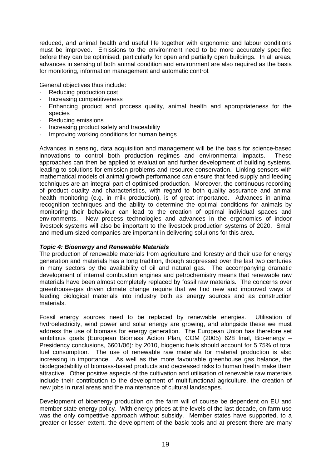reduced, and animal health and useful life together with ergonomic and labour conditions must be improved. Emissions to the environment need to be more accurately specified before they can be optimised, particularly for open and partially open buildings. In all areas, advances in sensing of both animal condition and environment are also required as the basis for monitoring, information management and automatic control.

General objectives thus include:

- Reducing production cost
- Increasing competitiveness
- Enhancing product and process quality, animal health and appropriateness for the species
- Reducing emissions
- Increasing product safety and traceability
- Improving working conditions for human beings

Advances in sensing, data acquisition and management will be the basis for science-based innovations to control both production regimes and environmental impacts. These approaches can then be applied to evaluation and further development of building systems, leading to solutions for emission problems and resource conservation. Linking sensors with mathematical models of animal growth performance can ensure that feed supply and feeding techniques are an integral part of optimised production. Moreover, the continuous recording of product quality and characteristics, with regard to both quality assurance and animal health monitoring (e.g. in milk production), is of great importance. Advances in animal recognition techniques and the ability to determine the optimal conditions for animals by monitoring their behaviour can lead to the creation of optimal individual spaces and environments. New process technologies and advances in the ergonomics of indoor livestock systems will also be important to the livestock production systems of 2020. Small and medium-sized companies are important in delivering solutions for this area.

#### *Topic 4: Bioenergy and Renewable Materials*

The production of renewable materials from agriculture and forestry and their use for energy generation and materials has a long tradition, though suppressed over the last two centuries in many sectors by the availability of oil and natural gas. The accompanying dramatic development of internal combustion engines and petrochemistry means that renewable raw materials have been almost completely replaced by fossil raw materials. The concerns over greenhouse-gas driven climate change require that we find new and improved ways of feeding biological materials into industry both as energy sources and as construction materials.

Fossil energy sources need to be replaced by renewable energies. Utilisation of hydroelectricity, wind power and solar energy are growing, and alongside these we must address the use of biomass for energy generation. The European Union has therefore set ambitious goals (European Biomass Action Plan, COM (2005) 628 final, Bio-energy – Presidency conclusions, 6601/06): by 2010, biogenic fuels should account for 5.75% of total fuel consumption. The use of renewable raw materials for material production is also increasing in importance. As well as the more favourable greenhouse gas balance, the biodegradability of biomass-based products and decreased risks to human health make them attractive. Other positive aspects of the cultivation and utilisation of renewable raw materials include their contribution to the development of multifunctional agriculture, the creation of new jobs in rural areas and the maintenance of cultural landscapes.

Development of bioenergy production on the farm will of course be dependent on EU and member state energy policy. With energy prices at the levels of the last decade, on farm use was the only competitive approach without subsidy. Member states have supported, to a greater or lesser extent, the development of the basic tools and at present there are many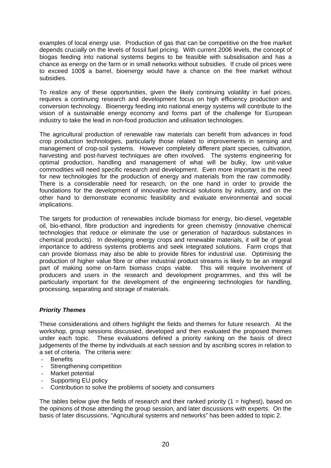examples of local energy use. Production of gas that can be competitive on the free market depends crucially on the levels of fossil fuel pricing. With current 2006 levels, the concept of biogas feeding into national systems begins to be feasible with subsidisation and has a chance as energy on the farm or in small networks without subsidies. If crude oil prices were to exceed 100\$ a barrel, bioenergy would have a chance on the free market without subsidies.

To realize any of these opportunities, given the likely continuing volatility in fuel prices, requires a continuing research and development focus on high efficiency production and conversion technology. Bioenergy feeding into national energy systems will contribute to the vision of a sustainable energy economy and forms part of the challenge for European industry to take the lead in non-food production and utilisation technologies.

The agricultural production of renewable raw materials can benefit from advances in food crop production technologies, particularly those related to improvements in sensing and management of crop-soil systems. However completely different plant species, cultivation, harvesting and post-harvest techniques are often involved. The systems engineering for optimal production, handling and management of what will be bulky, low unit-value commodities will need specific research and development. Even more important is the need for new technologies for the production of energy and materials from the raw commodity. There is a considerable need for research, on the one hand in order to provide the foundations for the development of innovative technical solutions by industry, and on the other hand to demonstrate economic feasibility and evaluate environmental and social implications.

The targets for production of renewables include biomass for energy, bio-diesel, vegetable oil, bio-ethanol, fibre production and ingredients for green chemistry (innovative chemical technologies that reduce or eliminate the use or generation of hazardous substances in chemical products). In developing energy crops and renewable materials, it will be of great importance to address systems problems and seek integrated solutions. Farm crops that can provide biomass may also be able to provide fibres for industrial use. Optimising the production of higher value fibre or other industrial product streams is likely to be an integral part of making some on-farm biomass crops viable. This will require involvement of producers and users in the research and development programmes, and this will be particularly important for the development of the engineering technologies for handling, processing, separating and storage of materials.

#### *Priority Themes*

These considerations and others highlight the fields and themes for future research. At the workshop, group sessions discussed, developed and then evaluated the proposed themes under each topic. These evaluations defined a priority ranking on the basis of direct judgements of the theme by individuals at each session and by ascribing scores in relation to a set of criteria. The criteria were:

- **Benefits**
- Strengthening competition
- Market potential
- Supporting EU policy
- Contribution to solve the problems of society and consumers

The tables below give the fields of research and their ranked priority  $(1 =$  highest), based on the opinions of those attending the group session, and later discussions with experts. On the basis of later discussions, "Agricultural systems and networks" has been added to topic 2.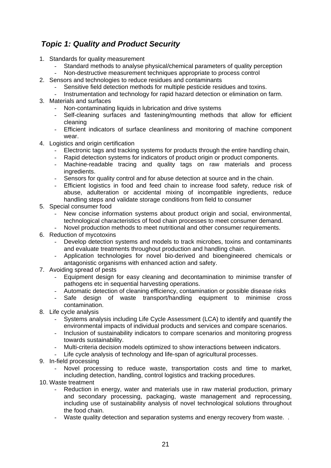# *Topic 1: Quality and Product Security*

- 1. Standards for quality measurement
	- Standard methods to analyse physical/chemical parameters of quality perception
	- Non-destructive measurement techniques appropriate to process control
- 2. Sensors and technologies to reduce residues and contaminants
	- Sensitive field detection methods for multiple pesticide residues and toxins.
	- Instrumentation and technology for rapid hazard detection or elimination on farm.
- 3. Materials and surfaces
	- Non-contaminating liquids in lubrication and drive systems
	- Self-cleaning surfaces and fastening/mounting methods that allow for efficient cleaning
	- Efficient indicators of surface cleanliness and monitoring of machine component wear.
- 4. Logistics and origin certification
	- Electronic tags and tracking systems for products through the entire handling chain,
	- Rapid detection systems for indicators of product origin or product components.
	- Machine-readable tracing and quality tags on raw materials and process ingredients.
	- Sensors for quality control and for abuse detection at source and in the chain.
	- Efficient logistics in food and feed chain to increase food safety, reduce risk of abuse, adulteration or accidental mixing of incompatible ingredients, reduce handling steps and validate storage conditions from field to consumer
- 5. Special consumer food
	- New concise information systems about product origin and social, environmental, technological characteristics of food chain processes to meet consumer demand.
	- Novel production methods to meet nutritional and other consumer requirements.
- 6. Reduction of mycotoxins
	- Develop detection systems and models to track microbes, toxins and contaminants and evaluate treatments throughout production and handling chain.
	- Application technologies for novel bio-derived and bioengineered chemicals or antagonistic organisms with enhanced action and safety.
- 7. Avoiding spread of pests
	- Equipment design for easy cleaning and decontamination to minimise transfer of pathogens etc in sequential harvesting operations.
	- Automatic detection of cleaning efficiency, contamination or possible disease risks
	- Safe design of waste transport/handling equipment to minimise cross contamination.
- 8. Life cycle analysis
	- Systems analysis including Life Cycle Assessment (LCA) to identify and quantify the environmental impacts of individual products and services and compare scenarios.
	- Inclusion of sustainability indicators to compare scenarios and monitoring progress towards sustainability.
	- Multi-criteria decision models optimized to show interactions between indicators.
	- Life cycle analysis of technology and life-span of agricultural processes.
- 9. In-field processing
	- Novel processing to reduce waste, transportation costs and time to market, including detection, handling, control logistics and tracking procedures.
- 10. Waste treatment
	- Reduction in energy, water and materials use in raw material production, primary and secondary processing, packaging, waste management and reprocessing, including use of sustainability analysis of novel technological solutions throughout the food chain.
	- Waste quality detection and separation systems and energy recovery from waste. .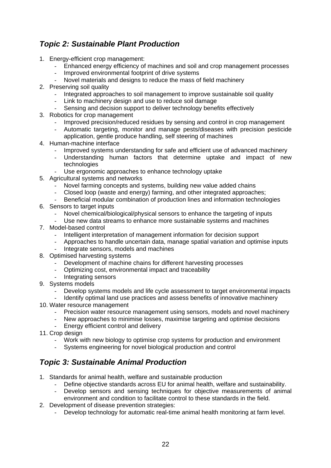# *Topic 2: Sustainable Plant Production*

- 1. Energy-efficient crop management:
	- Enhanced energy efficiency of machines and soil and crop management processes
	- Improved environmental footprint of drive systems
	- Novel materials and designs to reduce the mass of field machinery
- 2. Preserving soil quality
	- Integrated approaches to soil management to improve sustainable soil quality
	- Link to machinery design and use to reduce soil damage
	- Sensing and decision support to deliver technology benefits effectively
- 3. Robotics for crop management
	- Improved precision/reduced residues by sensing and control in crop management
	- Automatic targeting, monitor and manage pests/diseases with precision pesticide application, gentle produce handling, self steering of machines
- 4. Human-machine interface
	- Improved systems understanding for safe and efficient use of advanced machinery
	- Understanding human factors that determine uptake and impact of new technologies
	- Use ergonomic approaches to enhance technology uptake
- 5. Agricultural systems and networks
	- Novel farming concepts and systems, building new value added chains
	- Closed loop (waste and energy) farming, and other integrated approaches;
	- Beneficial modular combination of production lines and information technologies
- 6. Sensors to target inputs
	- Novel chemical/biological/physical sensors to enhance the targeting of inputs
	- Use new data streams to enhance more sustainable systems and machines
- 7. Model-based control
	- Intelligent interpretation of management information for decision support
	- Approaches to handle uncertain data, manage spatial variation and optimise inputs
	- Integrate sensors, models and machines
- 8. Optimised harvesting systems
	- Development of machine chains for different harvesting processes
	- Optimizing cost, environmental impact and traceability
	- Integrating sensors
- 9. Systems models
	- Develop systems models and life cycle assessment to target environmental impacts
- Identify optimal land use practices and assess benefits of innovative machinery 10. Water resource management
	- Precision water resource management using sensors, models and novel machinery
	- New approaches to minimise losses, maximise targeting and optimise decisions
	- Energy efficient control and delivery
- 11. Crop design
	- Work with new biology to optimise crop systems for production and environment
	- Systems engineering for novel biological production and control

# *Topic 3: Sustainable Animal Production*

- 1. Standards for animal health, welfare and sustainable production
	- Define objective standards across EU for animal health, welfare and sustainability.
	- Develop sensors and sensing techniques for objective measurements of animal environment and condition to facilitate control to these standards in the field.
- 2. Development of disease prevention strategies:
	- Develop technology for automatic real-time animal health monitoring at farm level.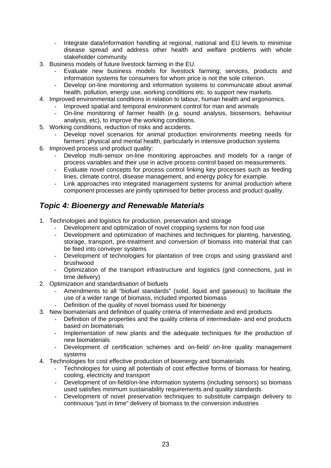- Integrate data/information handling at regional, national and EU levels to minimise disease spread and address other health and welfare problems with whole stakeholder community
- 3. Business models of future livestock farming in the EU.
	- Evaluate new business models for livestock farming; services, products and information systems for consumers for whom price is not the sole criterion.
	- Develop on-line monitoring and information systems to communicate about animal health, pollution, energy use, working conditions etc. to support new markets.
- 4. Improved environmental conditions in relation to labour, human health and ergonomics.
	- Improved spatial and temporal environment control for man and animals
	- On-line monitoring of farmer health (e.g. sound analysis, biosensors, behaviour analysis, etc), to improve the working conditions.
- 5. Working conditions, reduction of risks and accidents.
	- Develop novel scenarios for animal production environments meeting needs for farmers' physical and mental health, particularly in intensive production systems
- 6. Improved process und product quality:
	- Develop multi-sensor on-line monitoring approaches and models for a range of process variables and their use in active process control based on measurements.
	- Evaluate novel concepts for process control linking key processes such as feeding lines, climate control, disease management, and energy policy for example.
	- Link approaches into integrated management systems for animal production where component processes are jointly optimised for better process and product quality.

## *Topic 4: Bioenergy and Renewable Materials*

- 1. Technologies and logistics for production, preservation and storage
	- Development and optimization of novel cropping systems for non food use
	- Development and optimization of machines and techniques for planting, harvesting, storage, transport, pre-treatment and conversion of biomass into material that can be feed into conveyer systems
	- Development of technologies for plantation of tree crops and using grassland and brushwood
	- Optimization of the transport infrastructure and logistics (grid connections, just in time delivery)
- 2. Optimization and standardisation of biofuels
	- Amendments to all "biofuel standards" (solid, liquid and gaseous) to facilitate the use of a wider range of biomass, included imported biomass
	- Definition of the quality of novel biomass used for bioenergy
- 3. New biomaterials and definition of quality criteria of intermediate and end products
	- Definition of the properties and the quality criteria of intermediate- and end products based on biomaterials
	- Implementation of new plants and the adequate techniques for the production of new biomaterials
	- Development of certification schemes and on-field/ on-line quality management systems
- 4. Technologies for cost effective production of bioenergy and biomaterials
	- Technologies for using all potentials of cost effective forms of biomass for heating. cooling, electricity and transport
	- Development of on-field/on-line information systems (including sensors) so biomass used satisfies minimum sustainability requirements and quality standards
	- Development of novel preservation techniques to substitute campaign delivery to continuous "just in time" delivery of biomass to the conversion industries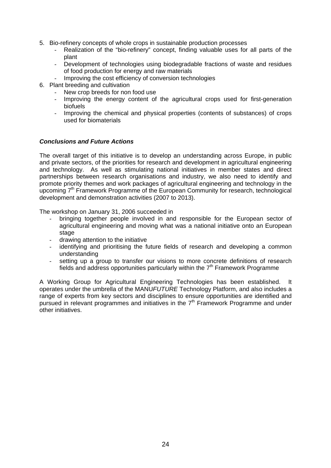- 5. Bio-refinery concepts of whole crops in sustainable production processes
	- Realization of the "bio-refinery" concept, finding valuable uses for all parts of the plant
	- Development of technologies using biodegradable fractions of waste and residues of food production for energy and raw materials
	- Improving the cost efficiency of conversion technologies
- 6. Plant breeding and cultivation
	- New crop breeds for non food use
	- Improving the energy content of the agricultural crops used for first-generation biofuels
	- Improving the chemical and physical properties (contents of substances) of crops used for biomaterials

#### *Conclusions and Future Actions*

The overall target of this initiative is to develop an understanding across Europe, in public and private sectors, of the priorities for research and development in agricultural engineering and technology. As well as stimulating national initiatives in member states and direct partnerships between research organisations and industry, we also need to identify and promote priority themes and work packages of agricultural engineering and technology in the upcoming 7<sup>th</sup> Framework Programme of the European Community for research, technological development and demonstration activities (2007 to 2013).

The workshop on January 31, 2006 succeeded in

- bringing together people involved in and responsible for the European sector of agricultural engineering and moving what was a national initiative onto an European stage
- drawing attention to the initiative
- identifying and prioritising the future fields of research and developing a common understanding
- setting up a group to transfer our visions to more concrete definitions of research fields and address opportunities particularly within the  $7<sup>th</sup>$  Framework Programme

A Working Group for Agricultural Engineering Technologies has been established. It operates under the umbrella of the MANU*FUTURE* Technology Platform, and also includes a range of experts from key sectors and disciplines to ensure opportunities are identified and pursued in relevant programmes and initiatives in the  $7<sup>th</sup>$  Framework Programme and under other initiatives.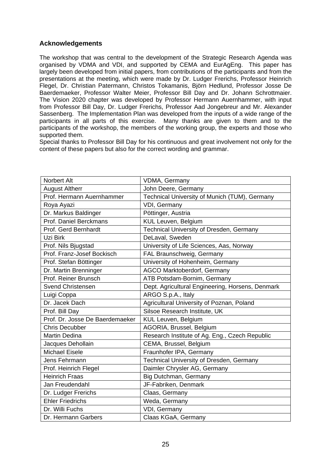#### **Acknowledgements**

The workshop that was central to the development of the Strategic Research Agenda was organised by VDMA and VDI, and supported by CEMA and EurAgEng. This paper has largely been developed from initial papers, from contributions of the participants and from the presentations at the meeting, which were made by Dr. Ludger Frerichs, Professor Heinrich Flegel, Dr. Christian Patermann, Christos Tokamanis, Björn Hedlund, Professor Josse De Baerdemaeker, Professor Walter Meier, Professor Bill Day and Dr. Johann Schrottmaier. The Vision 2020 chapter was developed by Professor Hermann Auernhammer, with input from Professor Bill Day, Dr. Ludger Frerichs, Professor Aad Jongebreur and Mr. Alexander Sassenberg. The Implementation Plan was developed from the inputs of a wide range of the participants in all parts of this exercise. Many thanks are given to them and to the participants of the workshop, the members of the working group, the experts and those who supported them.

Special thanks to Professor Bill Day for his continuous and great involvement not only for the content of these papers but also for the correct wording and grammar.

| <b>Norbert Alt</b>              | VDMA, Germany                                    |
|---------------------------------|--------------------------------------------------|
| <b>August Altherr</b>           | John Deere, Germany                              |
| Prof. Hermann Auernhammer       | Technical University of Munich (TUM), Germany    |
| Roya Ayazi                      | VDI, Germany                                     |
| Dr. Markus Baldinger            | Pöttinger, Austria                               |
| Prof. Daniel Berckmans          | KUL Leuven, Belgium                              |
| Prof. Gerd Bernhardt            | <b>Technical University of Dresden, Germany</b>  |
| Uzi Birk                        | DeLaval, Sweden                                  |
| Prof. Nils Bjugstad             | University of Life Sciences, Aas, Norway         |
| Prof. Franz-Josef Bockisch      | FAL Braunschweig, Germany                        |
| Prof. Stefan Böttinger          | University of Hohenheim, Germany                 |
| Dr. Martin Brenninger           | <b>AGCO Marktoberdorf, Germany</b>               |
| Prof. Reiner Brunsch            | ATB Potsdam-Bornim, Germany                      |
| <b>Svend Christensen</b>        | Dept. Agricultural Engineering, Horsens, Denmark |
| Luigi Coppa                     | ARGO S.p.A., Italy                               |
| Dr. Jacek Dach                  | Agricultural University of Poznan, Poland        |
| Prof. Bill Day                  | Silsoe Research Institute, UK                    |
| Prof. Dr. Josse De Baerdemaeker | KUL Leuven, Belgium                              |
| <b>Chris Decubber</b>           | AGORIA, Brussel, Belgium                         |
| <b>Martin Dedina</b>            | Research Institute of Ag. Eng., Czech Republic   |
| Jacques Dehollain               | CEMA, Brussel, Belgium                           |
| <b>Michael Eisele</b>           | Fraunhofer IPA, Germany                          |
| Jens Fehrmann                   | Technical University of Dresden, Germany         |
| Prof. Heinrich Flegel           | Daimler Chrysler AG, Germany                     |
| <b>Heinrich Fraas</b>           | Big Dutchman, Germany                            |
| Jan Freudendahl                 | JF-Fabriken, Denmark                             |
| Dr. Ludger Frerichs             | Claas, Germany                                   |
| <b>Ehler Friedrichs</b>         | Weda, Germany                                    |
| Dr. Willi Fuchs                 | VDI, Germany                                     |
| Dr. Hermann Garbers             | Claas KGaA, Germany                              |